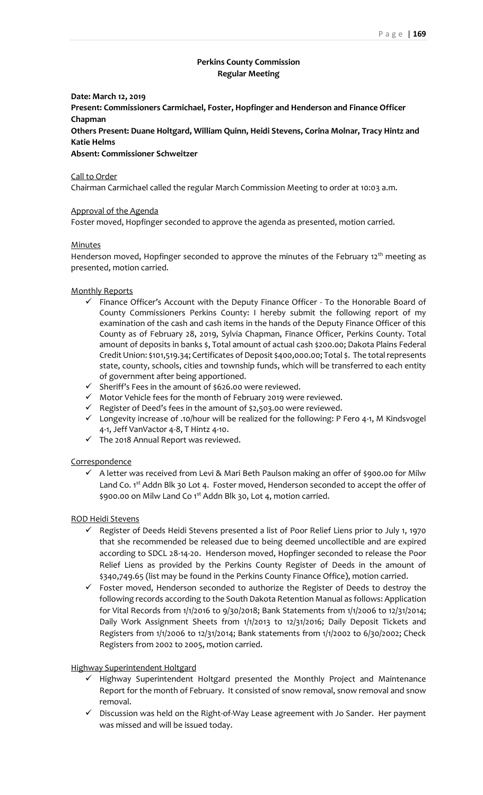# **Perkins County Commission Regular Meeting**

**Date: March 12, 2019**

**Present: Commissioners Carmichael, Foster, Hopfinger and Henderson and Finance Officer Chapman**

**Others Present: Duane Holtgard, William Quinn, Heidi Stevens, Corina Molnar, Tracy Hintz and Katie Helms**

**Absent: Commissioner Schweitzer**

Call to Order

Chairman Carmichael called the regular March Commission Meeting to order at 10:03 a.m.

### Approval of the Agenda

Foster moved, Hopfinger seconded to approve the agenda as presented, motion carried.

### Minutes

Henderson moved, Hopfinger seconded to approve the minutes of the February  $12<sup>th</sup>$  meeting as presented, motion carried.

### Monthly Reports

- $\checkmark$  Finance Officer's Account with the Deputy Finance Officer To the Honorable Board of County Commissioners Perkins County: I hereby submit the following report of my examination of the cash and cash items in the hands of the Deputy Finance Officer of this County as of February 28, 2019, Sylvia Chapman, Finance Officer, Perkins County. Total amount of deposits in banks \$, Total amount of actual cash \$200.00; Dakota Plains Federal Credit Union: \$101,519.34; Certificates of Deposit \$400,000.00; Total \$. The total represents state, county, schools, cities and township funds, which will be transferred to each entity of government after being apportioned.
- ✓ Sheriff's Fees in the amount of \$626.00 were reviewed.
- $\checkmark$  Motor Vehicle fees for the month of February 2019 were reviewed.
- ✓ Register of Deed's fees in the amount of \$2,503.00 were reviewed.
- ✓ Longevity increase of .10/hour will be realized for the following: P Fero 4-1, M Kindsvogel 4-1, Jeff VanVactor 4-8, T Hintz 4-10.
- $\checkmark$  The 2018 Annual Report was reviewed.

#### **Correspondence**

 $\checkmark$  A letter was received from Levi & Mari Beth Paulson making an offer of \$900.00 for Milw Land Co.  $1<sup>st</sup>$  Addn Blk 30 Lot 4. Foster moved, Henderson seconded to accept the offer of \$900.00 on Milw Land Co 1<sup>st</sup> Addn Blk 30, Lot 4, motion carried.

## ROD Heidi Stevens

- ✓ Register of Deeds Heidi Stevens presented a list of Poor Relief Liens prior to July 1, 1970 that she recommended be released due to being deemed uncollectible and are expired according to SDCL 28-14-20. Henderson moved, Hopfinger seconded to release the Poor Relief Liens as provided by the Perkins County Register of Deeds in the amount of \$340,749.65 (list may be found in the Perkins County Finance Office), motion carried.
- $\checkmark$  Foster moved, Henderson seconded to authorize the Register of Deeds to destroy the following records according to the South Dakota Retention Manual as follows: Application for Vital Records from 1/1/2016 to 9/30/2018; Bank Statements from 1/1/2006 to 12/31/2014; Daily Work Assignment Sheets from 1/1/2013 to 12/31/2016; Daily Deposit Tickets and Registers from 1/1/2006 to 12/31/2014; Bank statements from 1/1/2002 to 6/30/2002; Check Registers from 2002 to 2005, motion carried.

#### Highway Superintendent Holtgard

- ✓ Highway Superintendent Holtgard presented the Monthly Project and Maintenance Report for the month of February. It consisted of snow removal, snow removal and snow removal.
- ✓ Discussion was held on the Right-of-Way Lease agreement with Jo Sander. Her payment was missed and will be issued today.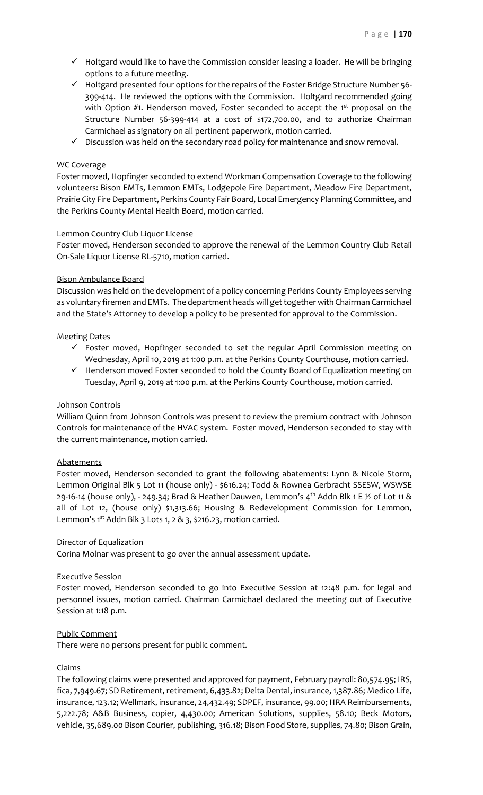- ✓ Holtgard would like to have the Commission consider leasing a loader. He will be bringing options to a future meeting.
- ✓ Holtgard presented four options for the repairs of the Foster Bridge Structure Number 56- 399-414. He reviewed the options with the Commission. Holtgard recommended going with Option #1. Henderson moved, Foster seconded to accept the 1<sup>st</sup> proposal on the Structure Number 56-399-414 at a cost of \$172,700.00, and to authorize Chairman Carmichael as signatory on all pertinent paperwork, motion carried.
- $\checkmark$  Discussion was held on the secondary road policy for maintenance and snow removal.

# WC Coverage

Foster moved, Hopfinger seconded to extend Workman Compensation Coverage to the following volunteers: Bison EMTs, Lemmon EMTs, Lodgepole Fire Department, Meadow Fire Department, Prairie City Fire Department, Perkins County Fair Board, Local Emergency Planning Committee, and the Perkins County Mental Health Board, motion carried.

## Lemmon Country Club Liquor License

Foster moved, Henderson seconded to approve the renewal of the Lemmon Country Club Retail On-Sale Liquor License RL-5710, motion carried.

# Bison Ambulance Board

Discussion was held on the development of a policy concerning Perkins County Employees serving as voluntary firemen and EMTs. The department heads will get together with Chairman Carmichael and the State's Attorney to develop a policy to be presented for approval to the Commission.

# Meeting Dates

- $\checkmark$  Foster moved, Hopfinger seconded to set the regular April Commission meeting on Wednesday, April 10, 2019 at 1:00 p.m. at the Perkins County Courthouse, motion carried.
- $\checkmark$  Henderson moved Foster seconded to hold the County Board of Equalization meeting on Tuesday, April 9, 2019 at 1:00 p.m. at the Perkins County Courthouse, motion carried.

## Johnson Controls

William Quinn from Johnson Controls was present to review the premium contract with Johnson Controls for maintenance of the HVAC system. Foster moved, Henderson seconded to stay with the current maintenance, motion carried.

## **Abatements**

Foster moved, Henderson seconded to grant the following abatements: Lynn & Nicole Storm, Lemmon Original Blk 5 Lot 11 (house only) - \$616.24; Todd & Rownea Gerbracht SSESW, WSWSE 29-16-14 (house only), - 249.34; Brad & Heather Dauwen, Lemmon's  $4^{th}$  Addn Blk 1 E  $\frac{1}{2}$  of Lot 11 & all of Lot 12, (house only) \$1,313.66; Housing & Redevelopment Commission for Lemmon, Lemmon's  $1^{st}$  Addn Blk 3 Lots 1, 2 & 3, \$216.23, motion carried.

## Director of Equalization

Corina Molnar was present to go over the annual assessment update.

## Executive Session

Foster moved, Henderson seconded to go into Executive Session at 12:48 p.m. for legal and personnel issues, motion carried. Chairman Carmichael declared the meeting out of Executive Session at 1:18 p.m.

## Public Comment

There were no persons present for public comment.

## Claims

The following claims were presented and approved for payment, February payroll: 80,574.95; IRS, fica, 7,949.67; SD Retirement, retirement, 6,433.82; Delta Dental, insurance, 1,387.86; Medico Life, insurance, 123.12; Wellmark, insurance, 24,432.49; SDPEF, insurance, 99.00; HRA Reimbursements, 5,222.78; A&B Business, copier, 4,430.00; American Solutions, supplies, 58.10; Beck Motors, vehicle, 35,689.00 Bison Courier, publishing, 316.18; Bison Food Store, supplies, 74.80; Bison Grain,